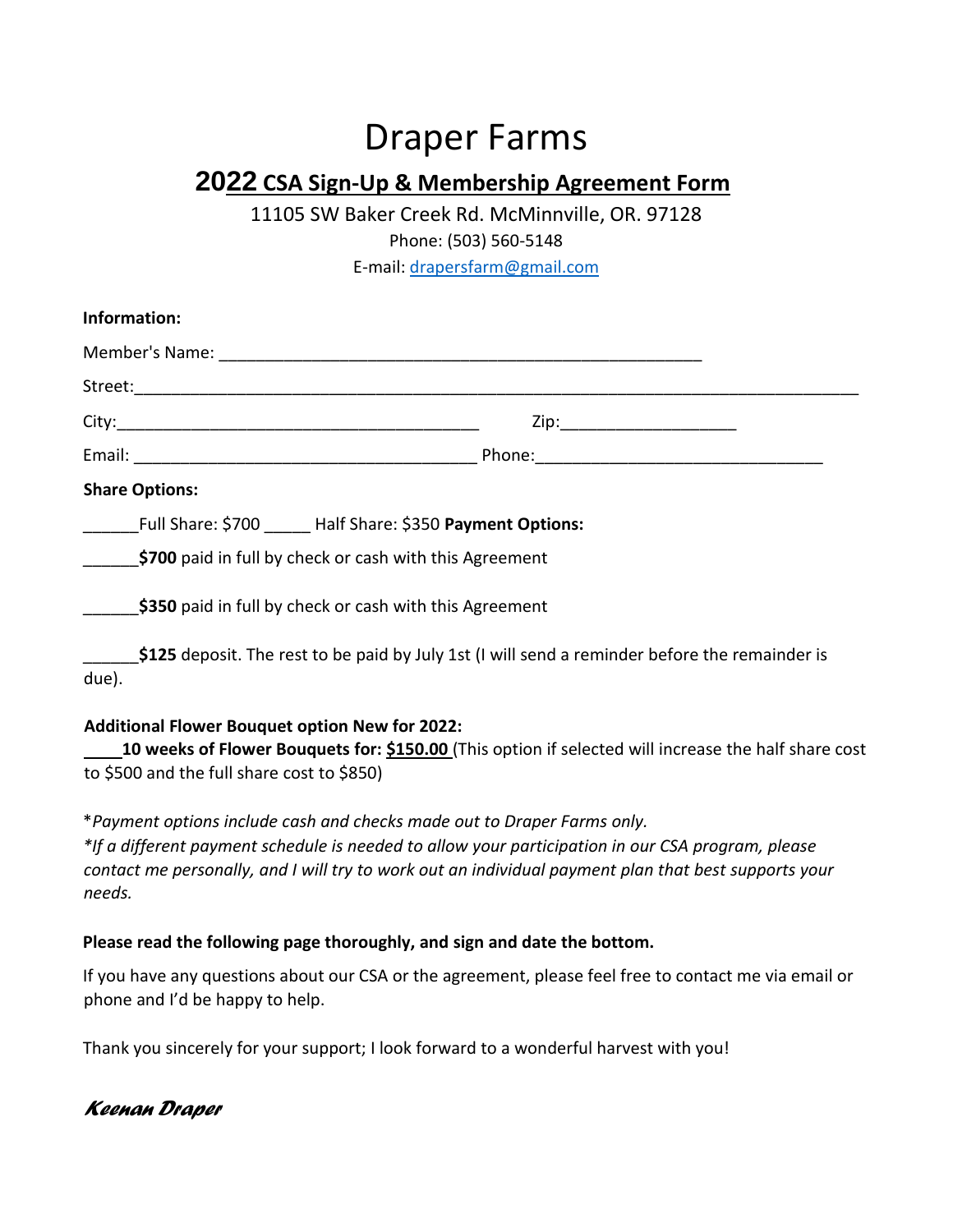# Draper Farms

# **2022 CSA Sign-Up & Membership Agreement Form**

11105 SW Baker Creek Rd. McMinnville, OR. 97128

Phone: (503) 560-5148

E-mail: drapersfarm@gmail.com

| Information:                               |                                                                                                                                                                              |
|--------------------------------------------|------------------------------------------------------------------------------------------------------------------------------------------------------------------------------|
|                                            |                                                                                                                                                                              |
|                                            |                                                                                                                                                                              |
|                                            | Zip:__________________________                                                                                                                                               |
|                                            |                                                                                                                                                                              |
| <b>Share Options:</b>                      |                                                                                                                                                                              |
|                                            | Full Share: \$700 _____ Half Share: \$350 Payment Options:                                                                                                                   |
|                                            | \$700 paid in full by check or cash with this Agreement                                                                                                                      |
|                                            | \$350 paid in full by check or cash with this Agreement                                                                                                                      |
| due).                                      | \$125 deposit. The rest to be paid by July 1st (I will send a reminder before the remainder is                                                                               |
| to \$500 and the full share cost to \$850) | <b>Additional Flower Bouquet option New for 2022:</b><br>10 weeks of Flower Bouquets for: \$150.00 (This option if selected will increase the half share cost                |
|                                            | *Payment options include cash and checks made out to Draper Farms only.<br>*If a different payment schedule is needed to allow your participation in our CSA program, please |

*contact me personally, and I will try to work out an individual payment plan that best supports your needs.* 

#### **Please read the following page thoroughly, and sign and date the bottom.**

If you have any questions about our CSA or the agreement, please feel free to contact me via email or phone and I'd be happy to help.

Thank you sincerely for your support; I look forward to a wonderful harvest with you!

## *Keenan Draper*